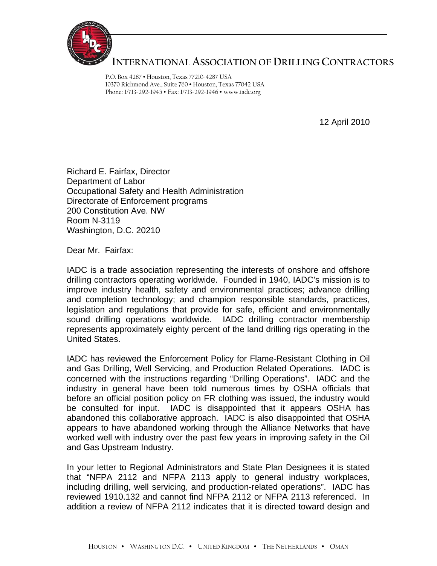

## **INTERNATIONAL ASSOCIATION OF DRILLING CONTRACTORS**

P.O. Box 4287 • Houston, Texas 77210-4287 USA 10370 Richmond Ave., Suite 760 • Houston, Texas 77042 USA Phone: 1/713-292-1945 • Fax: 1/713-292-1946 • www.iadc.org

12 April 2010

Richard E. Fairfax, Director Department of Labor Occupational Safety and Health Administration Directorate of Enforcement programs 200 Constitution Ave. NW Room N-3119 Washington, D.C. 20210

Dear Mr. Fairfax:

IADC is a trade association representing the interests of onshore and offshore drilling contractors operating worldwide. Founded in 1940, IADC's mission is to improve industry health, safety and environmental practices; advance drilling and completion technology; and champion responsible standards, practices, legislation and regulations that provide for safe, efficient and environmentally sound drilling operations worldwide. IADC drilling contractor membership represents approximately eighty percent of the land drilling rigs operating in the United States.

IADC has reviewed the Enforcement Policy for Flame-Resistant Clothing in Oil and Gas Drilling, Well Servicing, and Production Related Operations. IADC is concerned with the instructions regarding "Drilling Operations". IADC and the industry in general have been told numerous times by OSHA officials that before an official position policy on FR clothing was issued, the industry would be consulted for input. IADC is disappointed that it appears OSHA has abandoned this collaborative approach. IADC is also disappointed that OSHA appears to have abandoned working through the Alliance Networks that have worked well with industry over the past few years in improving safety in the Oil and Gas Upstream Industry.

In your letter to Regional Administrators and State Plan Designees it is stated that "NFPA 2112 and NFPA 2113 apply to general industry workplaces, including drilling, well servicing, and production-related operations". IADC has reviewed 1910.132 and cannot find NFPA 2112 or NFPA 2113 referenced. In addition a review of NFPA 2112 indicates that it is directed toward design and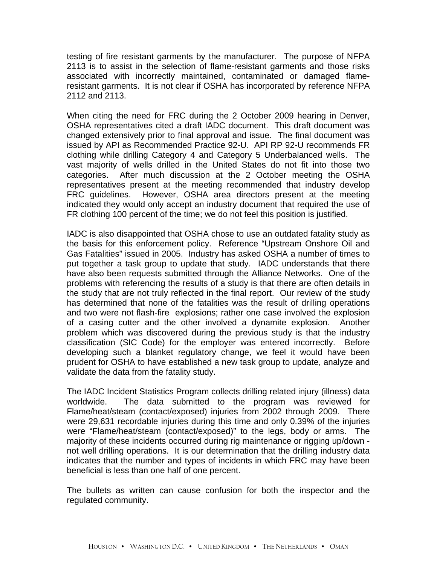testing of fire resistant garments by the manufacturer. The purpose of NFPA 2113 is to assist in the selection of flame-resistant garments and those risks associated with incorrectly maintained, contaminated or damaged flameresistant garments. It is not clear if OSHA has incorporated by reference NFPA 2112 and 2113.

When citing the need for FRC during the 2 October 2009 hearing in Denver, OSHA representatives cited a draft IADC document. This draft document was changed extensively prior to final approval and issue. The final document was issued by API as Recommended Practice 92-U. API RP 92-U recommends FR clothing while drilling Category 4 and Category 5 Underbalanced wells. The vast majority of wells drilled in the United States do not fit into those two categories. After much discussion at the 2 October meeting the OSHA representatives present at the meeting recommended that industry develop FRC guidelines. However, OSHA area directors present at the meeting indicated they would only accept an industry document that required the use of FR clothing 100 percent of the time; we do not feel this position is justified.

IADC is also disappointed that OSHA chose to use an outdated fatality study as the basis for this enforcement policy. Reference "Upstream Onshore Oil and Gas Fatalities" issued in 2005. Industry has asked OSHA a number of times to put together a task group to update that study. IADC understands that there have also been requests submitted through the Alliance Networks. One of the problems with referencing the results of a study is that there are often details in the study that are not truly reflected in the final report. Our review of the study has determined that none of the fatalities was the result of drilling operations and two were not flash-fire explosions; rather one case involved the explosion of a casing cutter and the other involved a dynamite explosion. Another problem which was discovered during the previous study is that the industry classification (SIC Code) for the employer was entered incorrectly. Before developing such a blanket regulatory change, we feel it would have been prudent for OSHA to have established a new task group to update, analyze and validate the data from the fatality study.

The IADC Incident Statistics Program collects drilling related injury (illness) data worldwide. The data submitted to the program was reviewed for Flame/heat/steam (contact/exposed) injuries from 2002 through 2009. There were 29,631 recordable injuries during this time and only 0.39% of the injuries were "Flame/heat/steam (contact/exposed)" to the legs, body or arms. The majority of these incidents occurred during rig maintenance or rigging up/down not well drilling operations. It is our determination that the drilling industry data indicates that the number and types of incidents in which FRC may have been beneficial is less than one half of one percent.

The bullets as written can cause confusion for both the inspector and the regulated community.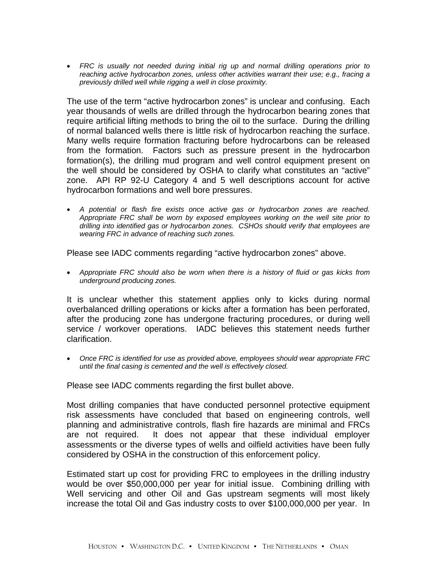• *FRC is usually not needed during initial rig up and normal drilling operations prior to reaching active hydrocarbon zones, unless other activities warrant their use; e.g., fracing a previously drilled well while rigging a well in close proximity.* 

The use of the term "active hydrocarbon zones" is unclear and confusing. Each year thousands of wells are drilled through the hydrocarbon bearing zones that require artificial lifting methods to bring the oil to the surface. During the drilling of normal balanced wells there is little risk of hydrocarbon reaching the surface. Many wells require formation fracturing before hydrocarbons can be released from the formation. Factors such as pressure present in the hydrocarbon formation(s), the drilling mud program and well control equipment present on the well should be considered by OSHA to clarify what constitutes an "active" zone. API RP 92-U Category 4 and 5 well descriptions account for active hydrocarbon formations and well bore pressures.

• *A potential or flash fire exists once active gas or hydrocarbon zones are reached. Appropriate FRC shall be worn by exposed employees working on the well site prior to drilling into identified gas or hydrocarbon zones. CSHOs should verify that employees are wearing FRC in advance of reaching such zones.* 

Please see IADC comments regarding "active hydrocarbon zones" above.

• *Appropriate FRC should also be worn when there is a history of fluid or gas kicks from underground producing zones.* 

It is unclear whether this statement applies only to kicks during normal overbalanced drilling operations or kicks after a formation has been perforated, after the producing zone has undergone fracturing procedures, or during well service / workover operations. IADC believes this statement needs further clarification.

• *Once FRC is identified for use as provided above, employees should wear appropriate FRC until the final casing is cemented and the well is effectively closed.* 

Please see IADC comments regarding the first bullet above.

Most drilling companies that have conducted personnel protective equipment risk assessments have concluded that based on engineering controls, well planning and administrative controls, flash fire hazards are minimal and FRCs are not required. It does not appear that these individual employer assessments or the diverse types of wells and oilfield activities have been fully considered by OSHA in the construction of this enforcement policy.

Estimated start up cost for providing FRC to employees in the drilling industry would be over \$50,000,000 per year for initial issue. Combining drilling with Well servicing and other Oil and Gas upstream segments will most likely increase the total Oil and Gas industry costs to over \$100,000,000 per year. In